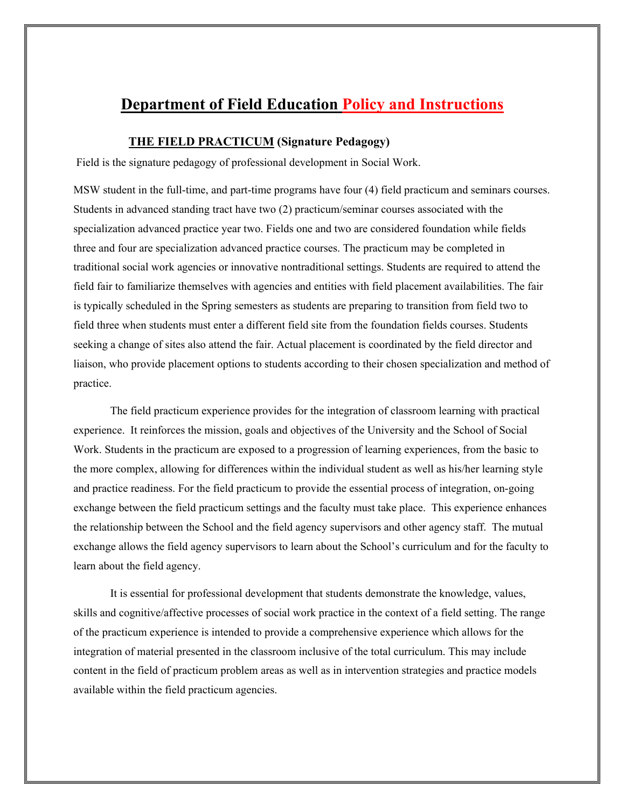# **Department of Field Education Policy and Instructions**

# **THE FIELD PRACTICUM (Signature Pedagogy)**

Field is the signature pedagogy of professional development in Social Work.

MSW student in the full-time, and part-time programs have four (4) field practicum and seminars courses. Students in advanced standing tract have two (2) practicum/seminar courses associated with the specialization advanced practice year two. Fields one and two are considered foundation while fields three and four are specialization advanced practice courses. The practicum may be completed in traditional social work agencies or innovative nontraditional settings. Students are required to attend the field fair to familiarize themselves with agencies and entities with field placement availabilities. The fair is typically scheduled in the Spring semesters as students are preparing to transition from field two to field three when students must enter a different field site from the foundation fields courses. Students seeking a change of sites also attend the fair. Actual placement is coordinated by the field director and liaison, who provide placement options to students according to their chosen specialization and method of practice.

The field practicum experience provides for the integration of classroom learning with practical experience. It reinforces the mission, goals and objectives of the University and the School of Social Work. Students in the practicum are exposed to a progression of learning experiences, from the basic to the more complex, allowing for differences within the individual student as well as his/her learning style and practice readiness. For the field practicum to provide the essential process of integration, on-going exchange between the field practicum settings and the faculty must take place. This experience enhances the relationship between the School and the field agency supervisors and other agency staff. The mutual exchange allows the field agency supervisors to learn about the School's curriculum and for the faculty to learn about the field agency.

It is essential for professional development that students demonstrate the knowledge, values, skills and cognitive/affective processes of social work practice in the context of a field setting. The range of the practicum experience is intended to provide a comprehensive experience which allows for the integration of material presented in the classroom inclusive of the total curriculum. This may include content in the field of practicum problem areas as well as in intervention strategies and practice models available within the field practicum agencies.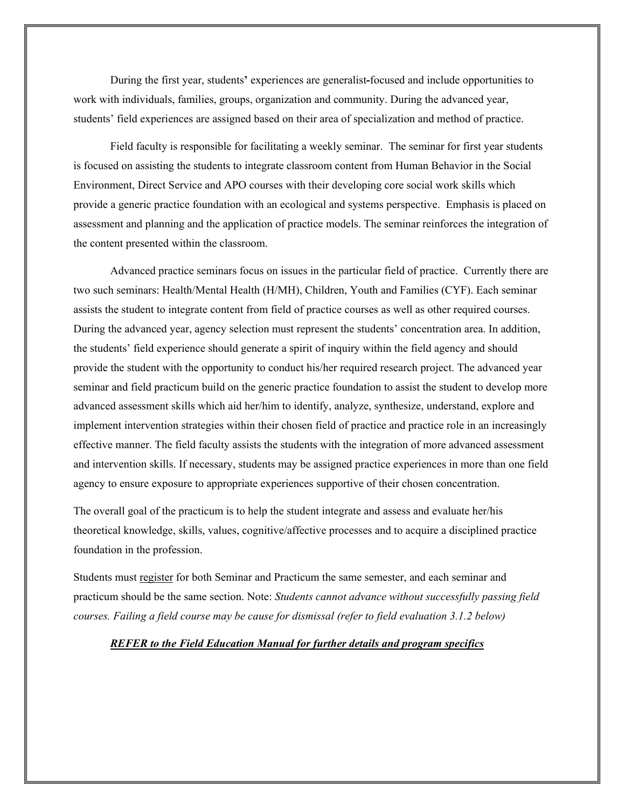During the first year, students**'** experiences are generalist**-**focused and include opportunities to work with individuals, families, groups, organization and community. During the advanced year, students' field experiences are assigned based on their area of specialization and method of practice.

Field faculty is responsible for facilitating a weekly seminar. The seminar for first year students is focused on assisting the students to integrate classroom content from Human Behavior in the Social Environment, Direct Service and APO courses with their developing core social work skills which provide a generic practice foundation with an ecological and systems perspective. Emphasis is placed on assessment and planning and the application of practice models. The seminar reinforces the integration of the content presented within the classroom.

Advanced practice seminars focus on issues in the particular field of practice. Currently there are two such seminars: Health/Mental Health (H/MH), Children, Youth and Families (CYF). Each seminar assists the student to integrate content from field of practice courses as well as other required courses. During the advanced year, agency selection must represent the students' concentration area. In addition, the students' field experience should generate a spirit of inquiry within the field agency and should provide the student with the opportunity to conduct his/her required research project. The advanced year seminar and field practicum build on the generic practice foundation to assist the student to develop more advanced assessment skills which aid her/him to identify, analyze, synthesize, understand, explore and implement intervention strategies within their chosen field of practice and practice role in an increasingly effective manner. The field faculty assists the students with the integration of more advanced assessment and intervention skills. If necessary, students may be assigned practice experiences in more than one field agency to ensure exposure to appropriate experiences supportive of their chosen concentration.

The overall goal of the practicum is to help the student integrate and assess and evaluate her/his theoretical knowledge, skills, values, cognitive/affective processes and to acquire a disciplined practice foundation in the profession.

Students must register for both Seminar and Practicum the same semester, and each seminar and practicum should be the same section. Note: *Students cannot advance without successfully passing field courses. Failing a field course may be cause for dismissal (refer to field evaluation 3.1.2 below)*

#### *REFER to the Field Education Manual for further details and program specifics*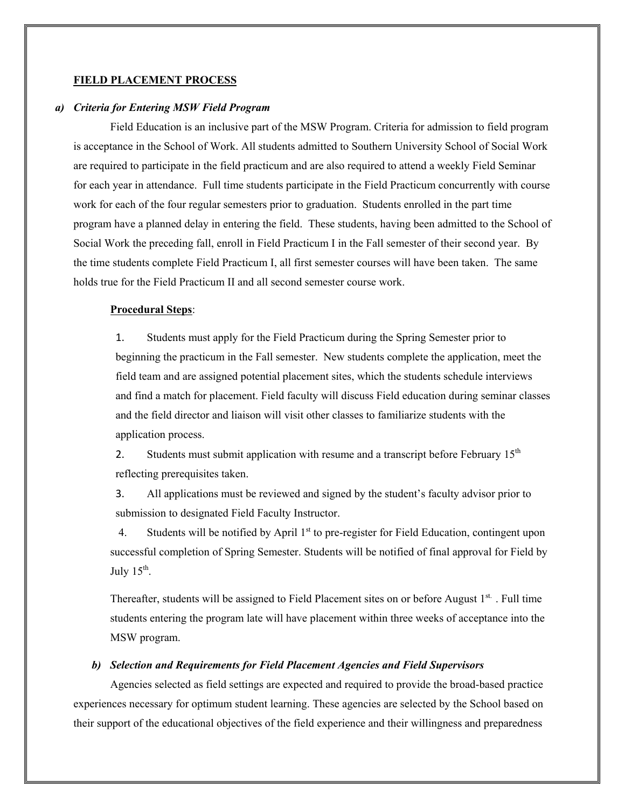#### **FIELD PLACEMENT PROCESS**

#### *a) Criteria for Entering MSW Field Program*

Field Education is an inclusive part of the MSW Program. Criteria for admission to field program is acceptance in the School of Work. All students admitted to Southern University School of Social Work are required to participate in the field practicum and are also required to attend a weekly Field Seminar for each year in attendance. Full time students participate in the Field Practicum concurrently with course work for each of the four regular semesters prior to graduation. Students enrolled in the part time program have a planned delay in entering the field. These students, having been admitted to the School of Social Work the preceding fall, enroll in Field Practicum I in the Fall semester of their second year. By the time students complete Field Practicum I, all first semester courses will have been taken. The same holds true for the Field Practicum II and all second semester course work.

#### **Procedural Steps**:

1. Students must apply for the Field Practicum during the Spring Semester prior to beginning the practicum in the Fall semester. New students complete the application, meet the field team and are assigned potential placement sites, which the students schedule interviews and find a match for placement. Field faculty will discuss Field education during seminar classes and the field director and liaison will visit other classes to familiarize students with the application process.

2. Students must submit application with resume and a transcript before February  $15<sup>th</sup>$ reflecting prerequisites taken.

3. All applications must be reviewed and signed by the student's faculty advisor prior to submission to designated Field Faculty Instructor.

4. Students will be notified by April  $1<sup>st</sup>$  to pre-register for Field Education, contingent upon successful completion of Spring Semester. Students will be notified of final approval for Field by July  $15^{\text{th}}$ .

Thereafter, students will be assigned to Field Placement sites on or before August  $1<sup>st</sup>$ . Full time students entering the program late will have placement within three weeks of acceptance into the MSW program.

#### *b) Selection and Requirements for Field Placement Agencies and Field Supervisors*

Agencies selected as field settings are expected and required to provide the broad-based practice experiences necessary for optimum student learning. These agencies are selected by the School based on their support of the educational objectives of the field experience and their willingness and preparedness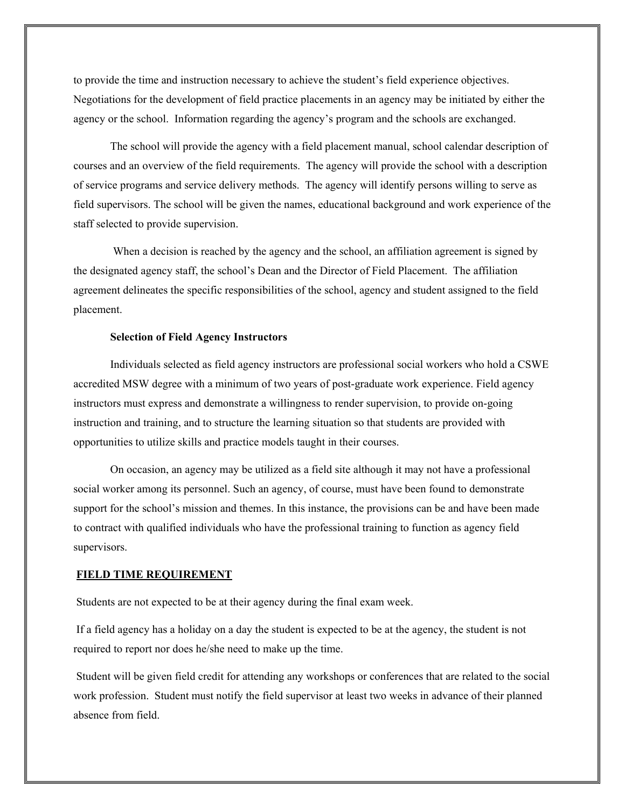to provide the time and instruction necessary to achieve the student's field experience objectives. Negotiations for the development of field practice placements in an agency may be initiated by either the agency or the school. Information regarding the agency's program and the schools are exchanged.

The school will provide the agency with a field placement manual, school calendar description of courses and an overview of the field requirements. The agency will provide the school with a description of service programs and service delivery methods. The agency will identify persons willing to serve as field supervisors. The school will be given the names, educational background and work experience of the staff selected to provide supervision.

When a decision is reached by the agency and the school, an affiliation agreement is signed by the designated agency staff, the school's Dean and the Director of Field Placement. The affiliation agreement delineates the specific responsibilities of the school, agency and student assigned to the field placement.

### **Selection of Field Agency Instructors**

Individuals selected as field agency instructors are professional social workers who hold a CSWE accredited MSW degree with a minimum of two years of post-graduate work experience. Field agency instructors must express and demonstrate a willingness to render supervision, to provide on-going instruction and training, and to structure the learning situation so that students are provided with opportunities to utilize skills and practice models taught in their courses.

On occasion, an agency may be utilized as a field site although it may not have a professional social worker among its personnel. Such an agency, of course, must have been found to demonstrate support for the school's mission and themes. In this instance, the provisions can be and have been made to contract with qualified individuals who have the professional training to function as agency field supervisors.

#### **FIELD TIME REQUIREMENT**

Students are not expected to be at their agency during the final exam week.

If a field agency has a holiday on a day the student is expected to be at the agency, the student is not required to report nor does he/she need to make up the time.

Student will be given field credit for attending any workshops or conferences that are related to the social work profession. Student must notify the field supervisor at least two weeks in advance of their planned absence from field.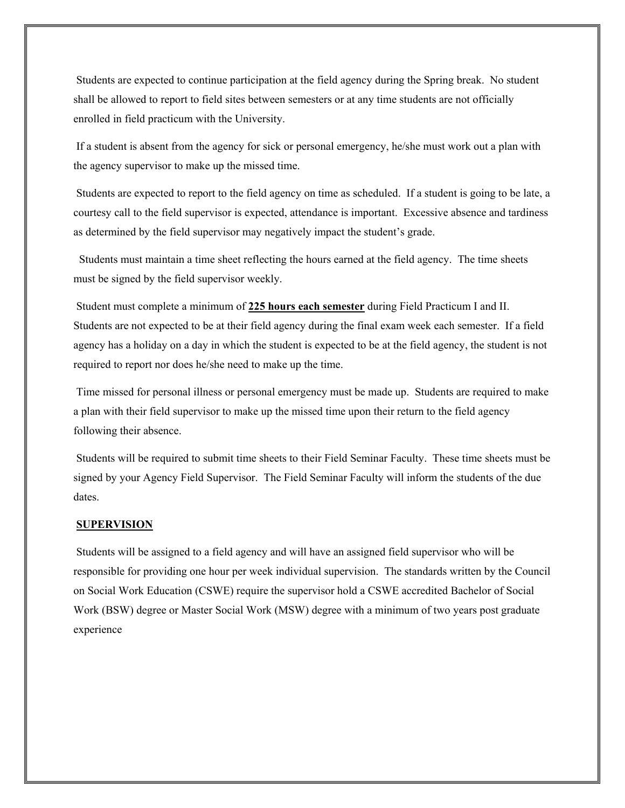Students are expected to continue participation at the field agency during the Spring break. No student shall be allowed to report to field sites between semesters or at any time students are not officially enrolled in field practicum with the University.

If a student is absent from the agency for sick or personal emergency, he/she must work out a plan with the agency supervisor to make up the missed time.

Students are expected to report to the field agency on time as scheduled. If a student is going to be late, a courtesy call to the field supervisor is expected, attendance is important. Excessive absence and tardiness as determined by the field supervisor may negatively impact the student's grade.

 Students must maintain a time sheet reflecting the hours earned at the field agency. The time sheets must be signed by the field supervisor weekly.

Student must complete a minimum of **225 hours each semester** during Field Practicum I and II. Students are not expected to be at their field agency during the final exam week each semester. If a field agency has a holiday on a day in which the student is expected to be at the field agency, the student is not required to report nor does he/she need to make up the time.

Time missed for personal illness or personal emergency must be made up. Students are required to make a plan with their field supervisor to make up the missed time upon their return to the field agency following their absence.

Students will be required to submit time sheets to their Field Seminar Faculty. These time sheets must be signed by your Agency Field Supervisor. The Field Seminar Faculty will inform the students of the due dates.

## **SUPERVISION**

Students will be assigned to a field agency and will have an assigned field supervisor who will be responsible for providing one hour per week individual supervision. The standards written by the Council on Social Work Education (CSWE) require the supervisor hold a CSWE accredited Bachelor of Social Work (BSW) degree or Master Social Work (MSW) degree with a minimum of two years post graduate experience